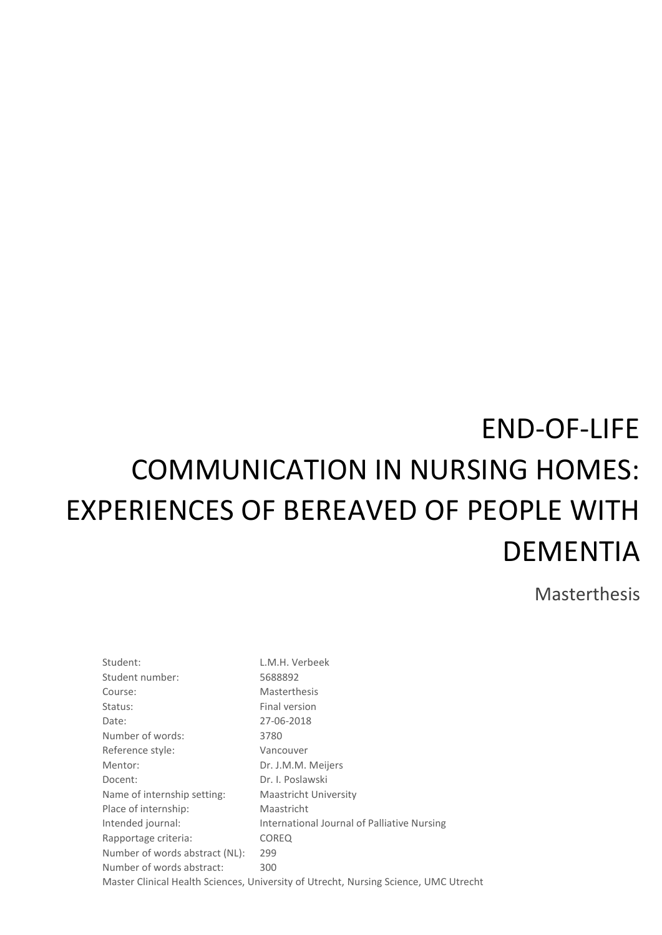# END-OF-LIFE COMMUNICATION IN NURSING HOMES: EXPERIENCES OF BEREAVED OF PEOPLE WITH DEMENTIA

Masterthesis

Student: L.M.H. Verbeek Student number: 5688892 Course: Masterthesis Status: Final version Date: 27-06-2018 Number of words: 3780 Reference style: Vancouver Mentor: Dr. J.M.M. Meijers Docent: Docent: Dr. I. Poslawski Name of internship setting: Maastricht University Place of internship: Maastricht Intended journal: International Journal of Palliative Nursing Rapportage criteria: COREQ Number of words abstract (NL): 299 Number of words abstract: 300 Master Clinical Health Sciences, University of Utrecht, Nursing Science, UMC Utrecht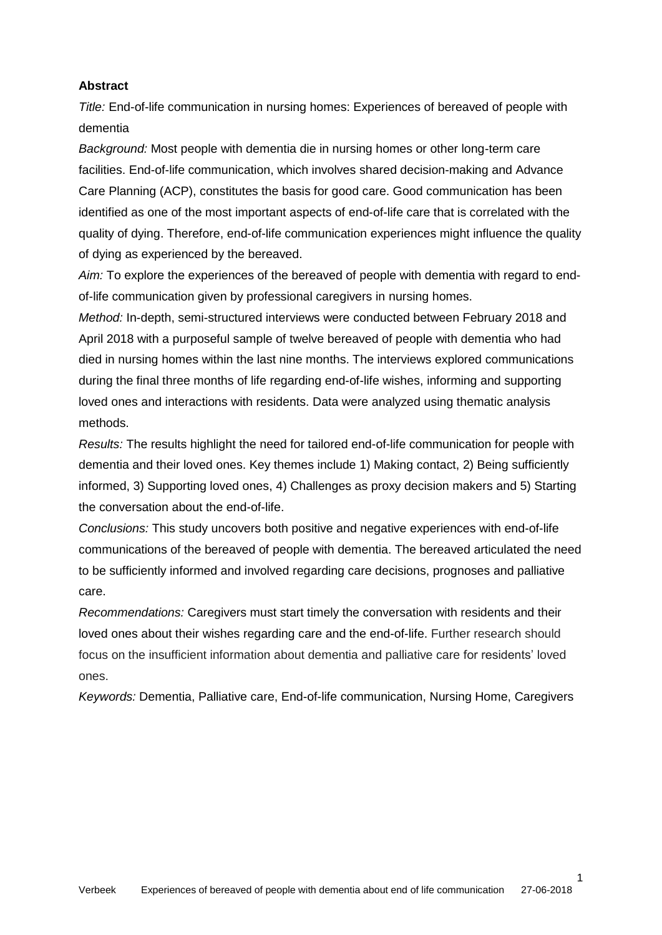## **Abstract**

*Title:* End-of-life communication in nursing homes: Experiences of bereaved of people with dementia

*Background:* Most people with dementia die in nursing homes or other long-term care facilities. End-of-life communication, which involves shared decision-making and Advance Care Planning (ACP), constitutes the basis for good care. Good communication has been identified as one of the most important aspects of end-of-life care that is correlated with the quality of dying. Therefore, end-of-life communication experiences might influence the quality of dying as experienced by the bereaved.

*Aim:* To explore the experiences of the bereaved of people with dementia with regard to endof-life communication given by professional caregivers in nursing homes.

*Method:* In-depth, semi-structured interviews were conducted between February 2018 and April 2018 with a purposeful sample of twelve bereaved of people with dementia who had died in nursing homes within the last nine months. The interviews explored communications during the final three months of life regarding end-of-life wishes, informing and supporting loved ones and interactions with residents. Data were analyzed using thematic analysis methods.

*Results:* The results highlight the need for tailored end-of-life communication for people with dementia and their loved ones. Key themes include 1) Making contact, 2) Being sufficiently informed, 3) Supporting loved ones, 4) Challenges as proxy decision makers and 5) Starting the conversation about the end-of-life.

*Conclusions:* This study uncovers both positive and negative experiences with end-of-life communications of the bereaved of people with dementia. The bereaved articulated the need to be sufficiently informed and involved regarding care decisions, prognoses and palliative care.

*Recommendations:* Caregivers must start timely the conversation with residents and their loved ones about their wishes regarding care and the end-of-life. Further research should focus on the insufficient information about dementia and palliative care for residents' loved ones.

*Keywords:* Dementia, Palliative care, End-of-life communication, Nursing Home, Caregivers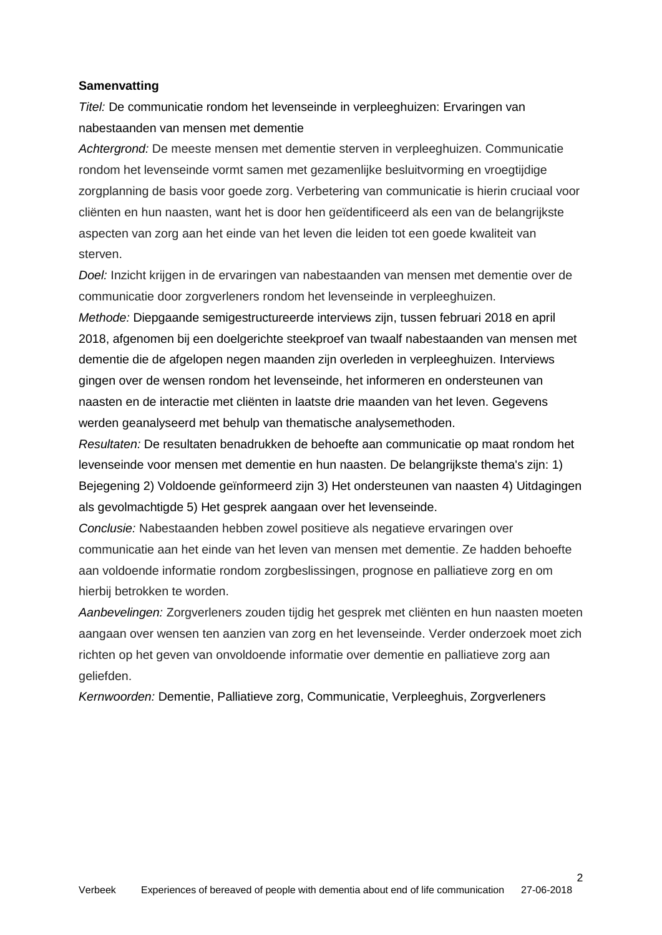## **Samenvatting**

*Titel:* De communicatie rondom het levenseinde in verpleeghuizen: Ervaringen van nabestaanden van mensen met dementie

*Achtergrond:* De meeste mensen met dementie sterven in verpleeghuizen. Communicatie rondom het levenseinde vormt samen met gezamenlijke besluitvorming en vroegtijdige zorgplanning de basis voor goede zorg. Verbetering van communicatie is hierin cruciaal voor cliënten en hun naasten, want het is door hen geïdentificeerd als een van de belangrijkste aspecten van zorg aan het einde van het leven die leiden tot een goede kwaliteit van sterven.

*Doel:* Inzicht krijgen in de ervaringen van nabestaanden van mensen met dementie over de communicatie door zorgverleners rondom het levenseinde in verpleeghuizen.

*Methode:* Diepgaande semigestructureerde interviews zijn, tussen februari 2018 en april 2018, afgenomen bij een doelgerichte steekproef van twaalf nabestaanden van mensen met dementie die de afgelopen negen maanden zijn overleden in verpleeghuizen. Interviews gingen over de wensen rondom het levenseinde, het informeren en ondersteunen van naasten en de interactie met cliënten in laatste drie maanden van het leven. Gegevens werden geanalyseerd met behulp van thematische analysemethoden.

*Resultaten:* De resultaten benadrukken de behoefte aan communicatie op maat rondom het levenseinde voor mensen met dementie en hun naasten. De belangrijkste thema's zijn: 1) Bejegening 2) Voldoende geïnformeerd zijn 3) Het ondersteunen van naasten 4) Uitdagingen als gevolmachtigde 5) Het gesprek aangaan over het levenseinde.

*Conclusie:* Nabestaanden hebben zowel positieve als negatieve ervaringen over communicatie aan het einde van het leven van mensen met dementie. Ze hadden behoefte aan voldoende informatie rondom zorgbeslissingen, prognose en palliatieve zorg en om hierbij betrokken te worden.

*Aanbevelingen:* Zorgverleners zouden tijdig het gesprek met cliënten en hun naasten moeten aangaan over wensen ten aanzien van zorg en het levenseinde. Verder onderzoek moet zich richten op het geven van onvoldoende informatie over dementie en palliatieve zorg aan geliefden.

*Kernwoorden:* Dementie, Palliatieve zorg, Communicatie, Verpleeghuis, Zorgverleners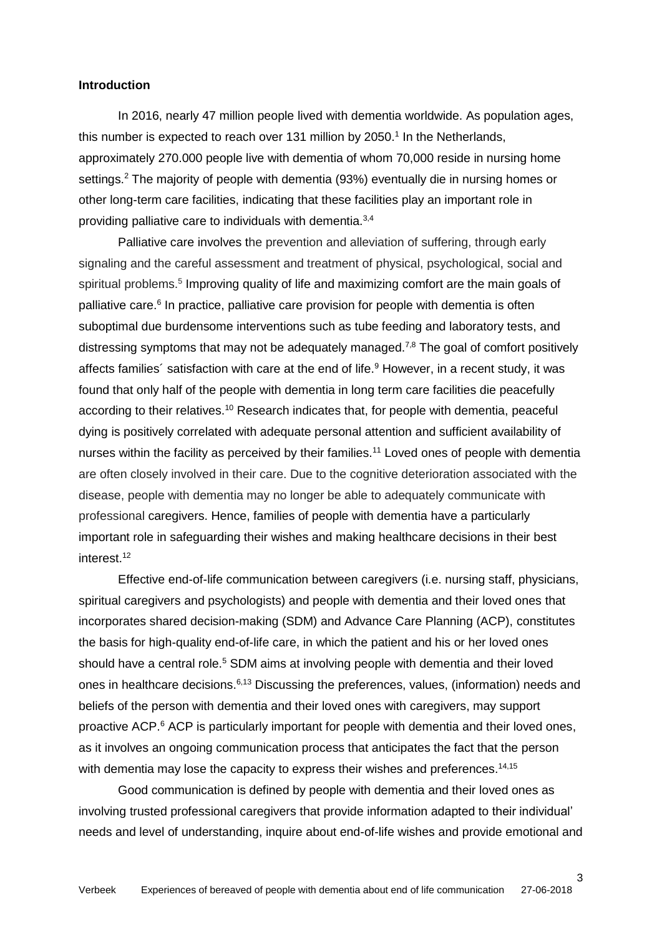## **Introduction**

In 2016, nearly 47 million people lived with dementia worldwide. As population ages, this number is expected to reach over 131 million by 2050. 1 In the Netherlands, approximately 270.000 people live with dementia of whom 70,000 reside in nursing home settings.<sup>2</sup> The majority of people with dementia (93%) eventually die in nursing homes or other long-term care facilities, indicating that these facilities play an important role in providing palliative care to individuals with dementia.<sup>3,4</sup>

Palliative care involves the prevention and alleviation of suffering, through early signaling and the careful assessment and treatment of physical, psychological, social and spiritual problems.<sup>5</sup> Improving quality of life and maximizing comfort are the main goals of palliative care.<sup>6</sup> In practice, palliative care provision for people with dementia is often suboptimal due burdensome interventions such as tube feeding and laboratory tests, and distressing symptoms that may not be adequately managed.<sup>7,8</sup> The goal of comfort positively affects families' satisfaction with care at the end of life. $9$  However, in a recent study, it was found that only half of the people with dementia in long term care facilities die peacefully according to their relatives.<sup>10</sup> Research indicates that, for people with dementia, peaceful dying is positively correlated with adequate personal attention and sufficient availability of nurses within the facility as perceived by their families.<sup>11</sup> Loved ones of people with dementia are often closely involved in their care. Due to the cognitive deterioration associated with the disease, people with dementia may no longer be able to adequately communicate with professional caregivers. Hence, families of people with dementia have a particularly important role in safeguarding their wishes and making healthcare decisions in their best interest.<sup>12</sup>

Effective end-of-life communication between caregivers (i.e. nursing staff, physicians, spiritual caregivers and psychologists) and people with dementia and their loved ones that incorporates shared decision-making (SDM) and Advance Care Planning (ACP), constitutes the basis for high-quality end-of-life care, in which the patient and his or her loved ones should have a central role.<sup>5</sup> SDM aims at involving people with dementia and their loved ones in healthcare decisions.<sup>6,13</sup> Discussing the preferences, values, (information) needs and beliefs of the person with dementia and their loved ones with caregivers, may support proactive ACP.<sup>6</sup> ACP is particularly important for people with dementia and their loved ones, as it involves an ongoing communication process that anticipates the fact that the person with dementia may lose the capacity to express their wishes and preferences.<sup>14,15</sup>

Good communication is defined by people with dementia and their loved ones as involving trusted professional caregivers that provide information adapted to their individual' needs and level of understanding, inquire about end-of-life wishes and provide emotional and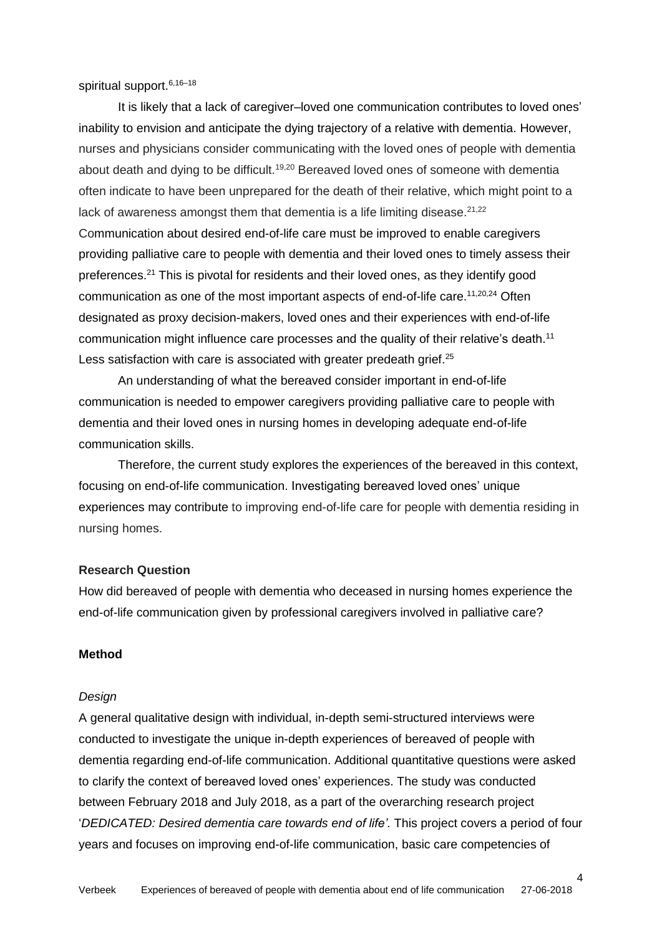spiritual support.<sup>6,16-18</sup>

It is likely that a lack of caregiver–loved one communication contributes to loved ones' inability to envision and anticipate the dying trajectory of a relative with dementia. However, nurses and physicians consider communicating with the loved ones of people with dementia about death and dying to be difficult.<sup>19,20</sup> Bereaved loved ones of someone with dementia often indicate to have been unprepared for the death of their relative, which might point to a lack of awareness amongst them that dementia is a life limiting disease. $21,22$ Communication about desired end-of-life care must be improved to enable caregivers providing palliative care to people with dementia and their loved ones to timely assess their preferences.<sup>21</sup> This is pivotal for residents and their loved ones, as they identify good communication as one of the most important aspects of end-of-life care.<sup>11,20,24</sup> Often designated as proxy decision-makers, loved ones and their experiences with end-of-life communication might influence care processes and the quality of their relative's death.<sup>11</sup> Less satisfaction with care is associated with greater predeath grief.<sup>25</sup>

An understanding of what the bereaved consider important in end-of-life communication is needed to empower caregivers providing palliative care to people with dementia and their loved ones in nursing homes in developing adequate end-of-life communication skills.

Therefore, the current study explores the experiences of the bereaved in this context, focusing on end-of-life communication. Investigating bereaved loved ones' unique experiences may contribute to improving end-of-life care for people with dementia residing in nursing homes.

### **Research Question**

How did bereaved of people with dementia who deceased in nursing homes experience the end-of-life communication given by professional caregivers involved in palliative care?

## **Method**

#### *Design*

A general qualitative design with individual, in-depth semi-structured interviews were conducted to investigate the unique in-depth experiences of bereaved of people with dementia regarding end-of-life communication. Additional quantitative questions were asked to clarify the context of bereaved loved ones' experiences. The study was conducted between February 2018 and July 2018, as a part of the overarching research project '*DEDICATED: Desired dementia care towards end of life'.* This project covers a period of four years and focuses on improving end-of-life communication, basic care competencies of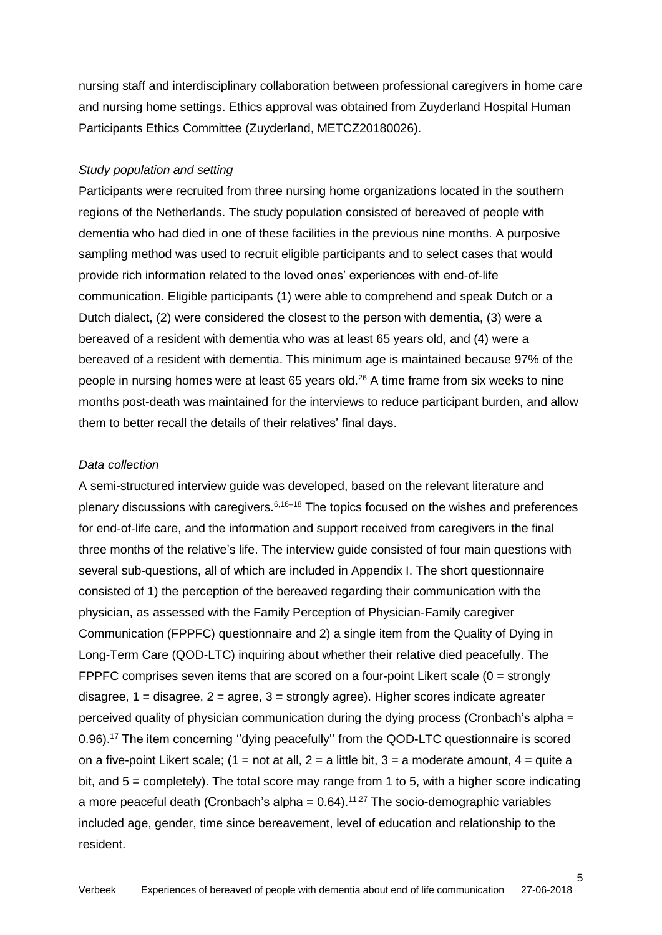nursing staff and interdisciplinary collaboration between professional caregivers in home care and nursing home settings. Ethics approval was obtained from Zuyderland Hospital Human Participants Ethics Committee (Zuyderland, METCZ20180026).

## *Study population and setting*

Participants were recruited from three nursing home organizations located in the southern regions of the Netherlands. The study population consisted of bereaved of people with dementia who had died in one of these facilities in the previous nine months. A purposive sampling method was used to recruit eligible participants and to select cases that would provide rich information related to the loved ones' experiences with end-of-life communication. Eligible participants (1) were able to comprehend and speak Dutch or a Dutch dialect, (2) were considered the closest to the person with dementia, (3) were a bereaved of a resident with dementia who was at least 65 years old, and (4) were a bereaved of a resident with dementia. This minimum age is maintained because 97% of the people in nursing homes were at least 65 years old.<sup>26</sup> A time frame from six weeks to nine months post-death was maintained for the interviews to reduce participant burden, and allow them to better recall the details of their relatives' final days.

# *Data collection*

A semi-structured interview guide was developed, based on the relevant literature and plenary discussions with caregivers.<sup>6,16–18</sup> The topics focused on the wishes and preferences for end-of-life care, and the information and support received from caregivers in the final three months of the relative's life. The interview guide consisted of four main questions with several sub-questions, all of which are included in Appendix I. The short questionnaire consisted of 1) the perception of the bereaved regarding their communication with the physician, as assessed with the Family Perception of Physician-Family caregiver Communication (FPPFC) questionnaire and 2) a single item from the Quality of Dying in Long-Term Care (QOD-LTC) inquiring about whether their relative died peacefully. The FPPFC comprises seven items that are scored on a four-point Likert scale  $(0 =$  strongly disagree,  $1 =$  disagree,  $2 =$  agree,  $3 =$  strongly agree). Higher scores indicate agreater perceived quality of physician communication during the dying process (Cronbach's alpha = 0.96).<sup>17</sup> The item concerning "dying peacefully" from the QOD-LTC questionnaire is scored on a five-point Likert scale; (1 = not at all, 2 = a little bit, 3 = a moderate amount, 4 = quite a bit, and  $5 =$  completely). The total score may range from 1 to 5, with a higher score indicating a more peaceful death (Cronbach's alpha =  $0.64$ ).<sup>11,27</sup> The socio-demographic variables included age, gender, time since bereavement, level of education and relationship to the resident.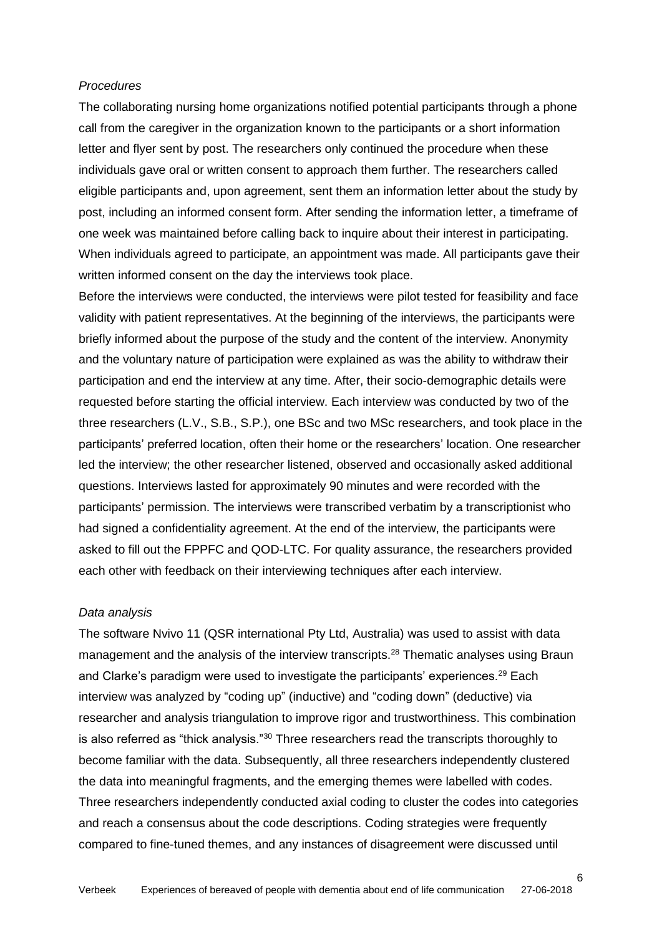## *Procedures*

The collaborating nursing home organizations notified potential participants through a phone call from the caregiver in the organization known to the participants or a short information letter and flyer sent by post. The researchers only continued the procedure when these individuals gave oral or written consent to approach them further. The researchers called eligible participants and, upon agreement, sent them an information letter about the study by post, including an informed consent form. After sending the information letter, a timeframe of one week was maintained before calling back to inquire about their interest in participating. When individuals agreed to participate, an appointment was made. All participants gave their written informed consent on the day the interviews took place.

Before the interviews were conducted, the interviews were pilot tested for feasibility and face validity with patient representatives. At the beginning of the interviews, the participants were briefly informed about the purpose of the study and the content of the interview. Anonymity and the voluntary nature of participation were explained as was the ability to withdraw their participation and end the interview at any time. After, their socio-demographic details were requested before starting the official interview. Each interview was conducted by two of the three researchers (L.V., S.B., S.P.), one BSc and two MSc researchers, and took place in the participants' preferred location, often their home or the researchers' location. One researcher led the interview; the other researcher listened, observed and occasionally asked additional questions. Interviews lasted for approximately 90 minutes and were recorded with the participants' permission. The interviews were transcribed verbatim by a transcriptionist who had signed a confidentiality agreement. At the end of the interview, the participants were asked to fill out the FPPFC and QOD-LTC. For quality assurance, the researchers provided each other with feedback on their interviewing techniques after each interview.

## *Data analysis*

The software Nvivo 11 (QSR international Pty Ltd, Australia) was used to assist with data management and the analysis of the interview transcripts.<sup>28</sup> Thematic analyses using Braun and Clarke's paradigm were used to investigate the participants' experiences.<sup>29</sup> Each interview was analyzed by "coding up" (inductive) and "coding down" (deductive) via researcher and analysis triangulation to improve rigor and trustworthiness. This combination is also referred as "thick analysis."<sup>30</sup> Three researchers read the transcripts thoroughly to become familiar with the data. Subsequently, all three researchers independently clustered the data into meaningful fragments, and the emerging themes were labelled with codes. Three researchers independently conducted axial coding to cluster the codes into categories and reach a consensus about the code descriptions. Coding strategies were frequently compared to fine-tuned themes, and any instances of disagreement were discussed until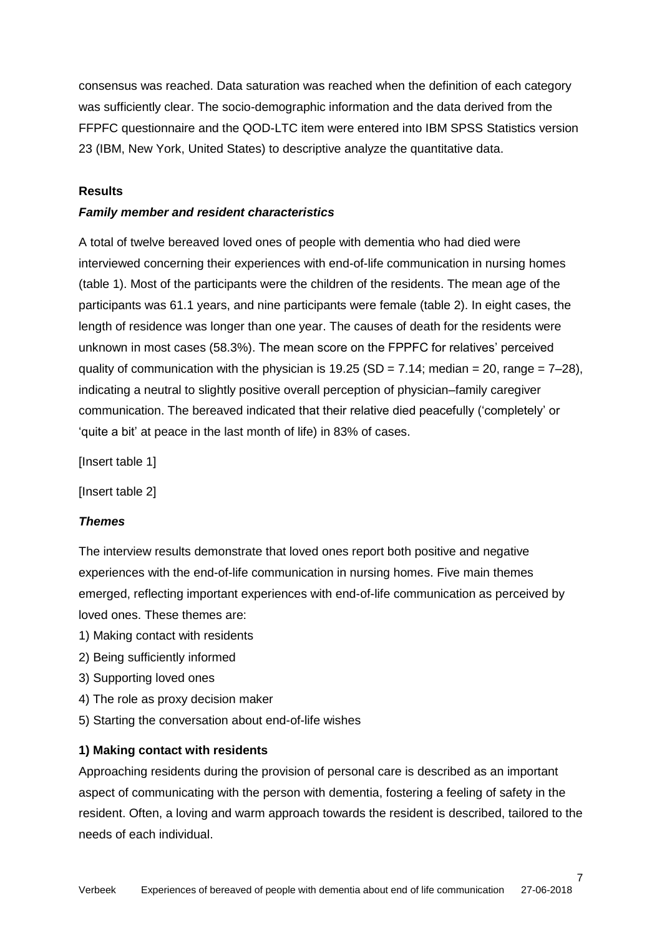consensus was reached. Data saturation was reached when the definition of each category was sufficiently clear. The socio-demographic information and the data derived from the FFPFC questionnaire and the QOD-LTC item were entered into IBM SPSS Statistics version 23 (IBM, New York, United States) to descriptive analyze the quantitative data.

# **Results**

## *Family member and resident characteristics*

A total of twelve bereaved loved ones of people with dementia who had died were interviewed concerning their experiences with end-of-life communication in nursing homes (table 1). Most of the participants were the children of the residents. The mean age of the participants was 61.1 years, and nine participants were female (table 2). In eight cases, the length of residence was longer than one year. The causes of death for the residents were unknown in most cases (58.3%). The mean score on the FPPFC for relatives' perceived quality of communication with the physician is  $19.25$  (SD = 7.14; median = 20, range = 7–28), indicating a neutral to slightly positive overall perception of physician–family caregiver communication. The bereaved indicated that their relative died peacefully ('completely' or 'quite a bit' at peace in the last month of life) in 83% of cases.

[Insert table 1]

[Insert table 2]

## *Themes*

The interview results demonstrate that loved ones report both positive and negative experiences with the end-of-life communication in nursing homes. Five main themes emerged, reflecting important experiences with end-of-life communication as perceived by loved ones. These themes are:

- 1) Making contact with residents
- 2) Being sufficiently informed
- 3) Supporting loved ones
- 4) The role as proxy decision maker
- 5) Starting the conversation about end-of-life wishes

## **1) Making contact with residents**

Approaching residents during the provision of personal care is described as an important aspect of communicating with the person with dementia, fostering a feeling of safety in the resident. Often, a loving and warm approach towards the resident is described, tailored to the needs of each individual.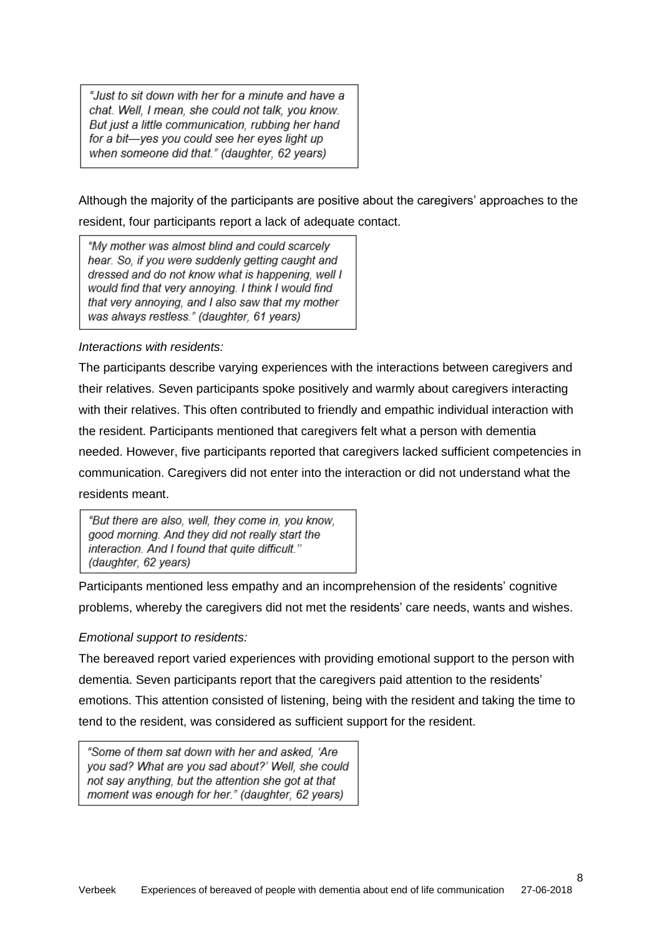"Just to sit down with her for a minute and have a chat. Well, I mean, she could not talk, you know. But just a little communication, rubbing her hand for a bit-yes you could see her eyes light up when someone did that." (daughter, 62 years)

Although the majority of the participants are positive about the caregivers' approaches to the resident, four participants report a lack of adequate contact.

"My mother was almost blind and could scarcely hear. So, if you were suddenly getting caught and dressed and do not know what is happening, well I would find that very annoying. I think I would find that very annoying, and I also saw that my mother was always restless." (daughter, 61 years)

# *Interactions with residents:*

The participants describe varying experiences with the interactions between caregivers and their relatives. Seven participants spoke positively and warmly about caregivers interacting with their relatives. This often contributed to friendly and empathic individual interaction with the resident. Participants mentioned that caregivers felt what a person with dementia needed. However, five participants reported that caregivers lacked sufficient competencies in communication. Caregivers did not enter into the interaction or did not understand what the residents meant.

"But there are also, well, they come in, you know, good morning. And they did not really start the interaction. And I found that quite difficult." (daughter, 62 years)

Participants mentioned less empathy and an incomprehension of the residents' cognitive problems, whereby the caregivers did not met the residents' care needs, wants and wishes.

## *Emotional support to residents:*

The bereaved report varied experiences with providing emotional support to the person with dementia. Seven participants report that the caregivers paid attention to the residents' emotions. This attention consisted of listening, being with the resident and taking the time to tend to the resident, was considered as sufficient support for the resident.

"Some of them sat down with her and asked, 'Are you sad? What are you sad about?' Well, she could not say anything, but the attention she got at that moment was enough for her." (daughter, 62 years)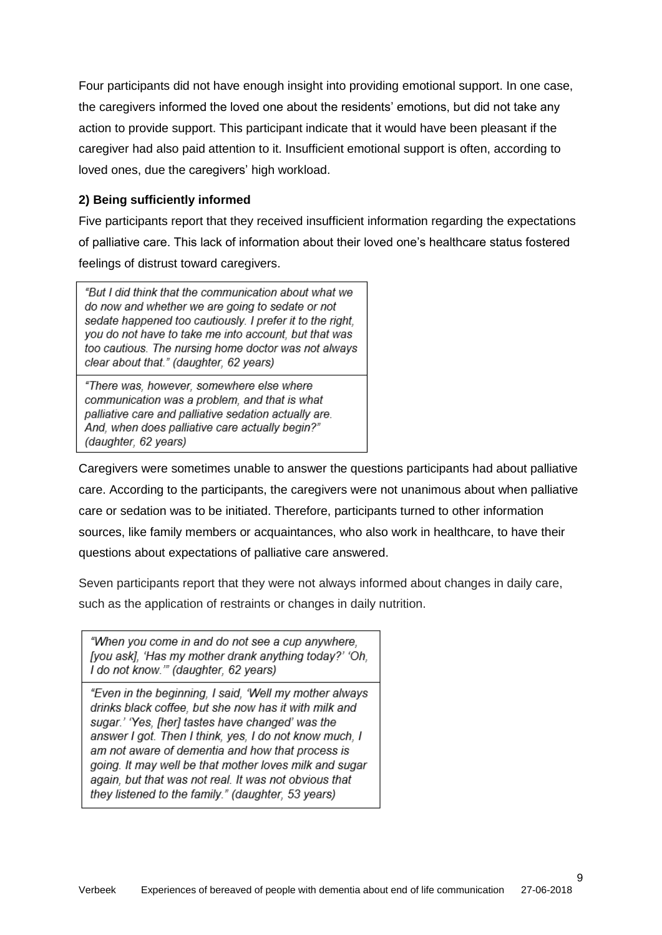Four participants did not have enough insight into providing emotional support. In one case, the caregivers informed the loved one about the residents' emotions, but did not take any action to provide support. This participant indicate that it would have been pleasant if the caregiver had also paid attention to it. Insufficient emotional support is often, according to loved ones, due the caregivers' high workload.

# **2) Being sufficiently informed**

Five participants report that they received insufficient information regarding the expectations of palliative care. This lack of information about their loved one's healthcare status fostered feelings of distrust toward caregivers.

"But I did think that the communication about what we do now and whether we are going to sedate or not sedate happened too cautiously. I prefer it to the right, you do not have to take me into account, but that was too cautious. The nursing home doctor was not always clear about that." (daughter, 62 years)

"There was, however, somewhere else where communication was a problem, and that is what palliative care and palliative sedation actually are. And, when does palliative care actually begin?" (daughter, 62 years)

Caregivers were sometimes unable to answer the questions participants had about palliative care. According to the participants, the caregivers were not unanimous about when palliative care or sedation was to be initiated. Therefore, participants turned to other information sources, like family members or acquaintances, who also work in healthcare, to have their questions about expectations of palliative care answered.

Seven participants report that they were not always informed about changes in daily care, such as the application of restraints or changes in daily nutrition.

"When you come in and do not see a cup anywhere. [you ask]. 'Has my mother drank anything today?' 'Oh. I do not know."" (daughter, 62 years)

"Even in the beginning, I said, 'Well my mother always drinks black coffee, but she now has it with milk and sugar.' 'Yes. [her] tastes have changed' was the answer I got. Then I think, yes, I do not know much, I am not aware of dementia and how that process is going. It may well be that mother loves milk and sugar again, but that was not real. It was not obvious that they listened to the family." (daughter, 53 years)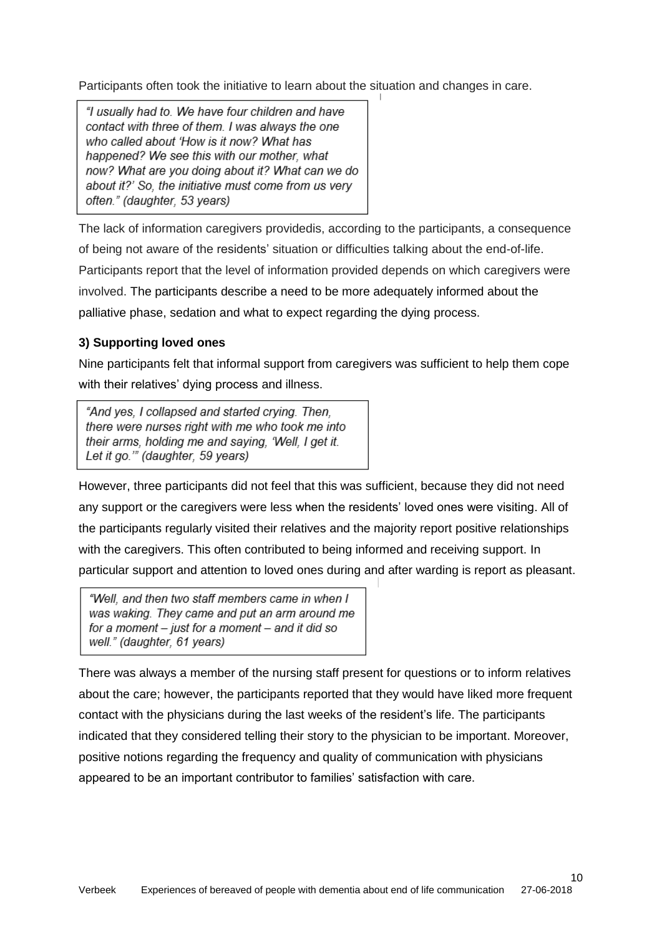Participants often took the initiative to learn about the situation and changes in care.

"I usually had to. We have four children and have contact with three of them. I was always the one who called about 'How is it now? What has happened? We see this with our mother, what now? What are you doing about it? What can we do about it?' So, the initiative must come from us very often." (daughter, 53 years)

The lack of information caregivers providedis, according to the participants, a consequence of being not aware of the residents' situation or difficulties talking about the end-of-life. Participants report that the level of information provided depends on which caregivers were involved. The participants describe a need to be more adequately informed about the palliative phase, sedation and what to expect regarding the dying process.

# **3) Supporting loved ones**

Nine participants felt that informal support from caregivers was sufficient to help them cope with their relatives' dying process and illness.

"And yes, I collapsed and started crying. Then, there were nurses right with me who took me into their arms, holding me and saying, 'Well, I get it. Let it go."" (daughter, 59 years)

However, three participants did not feel that this was sufficient, because they did not need any support or the caregivers were less when the residents' loved ones were visiting. All of the participants regularly visited their relatives and the majority report positive relationships with the caregivers. This often contributed to being informed and receiving support. In particular support and attention to loved ones during and after warding is report as pleasant.

"Well, and then two staff members came in when I was waking. They came and put an arm around me for a moment - just for a moment - and it did so well." (daughter, 61 years)

There was always a member of the nursing staff present for questions or to inform relatives about the care; however, the participants reported that they would have liked more frequent contact with the physicians during the last weeks of the resident's life. The participants indicated that they considered telling their story to the physician to be important. Moreover, positive notions regarding the frequency and quality of communication with physicians appeared to be an important contributor to families' satisfaction with care.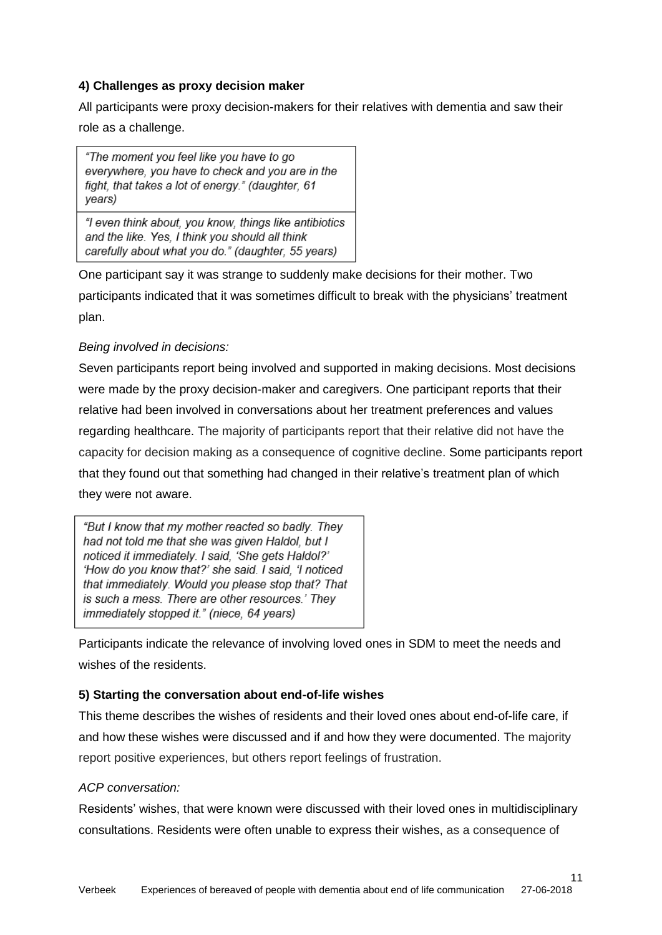# **4) Challenges as proxy decision maker**

All participants were proxy decision-makers for their relatives with dementia and saw their role as a challenge.

"The moment you feel like you have to go everywhere, you have to check and you are in the fight, that takes a lot of energy." (daughter, 61 years)

"I even think about, you know, things like antibiotics and the like. Yes. I think you should all think carefully about what you do." (daughter, 55 years)

One participant say it was strange to suddenly make decisions for their mother. Two participants indicated that it was sometimes difficult to break with the physicians' treatment plan.

# *Being involved in decisions:*

Seven participants report being involved and supported in making decisions. Most decisions were made by the proxy decision-maker and caregivers. One participant reports that their relative had been involved in conversations about her treatment preferences and values regarding healthcare. The majority of participants report that their relative did not have the capacity for decision making as a consequence of cognitive decline. Some participants report that they found out that something had changed in their relative's treatment plan of which they were not aware.

"But I know that my mother reacted so badly. They had not told me that she was given Haldol, but I noticed it immediately. I said, 'She gets Haldol?' 'How do you know that?' she said. I said. 'I noticed that immediately. Would you please stop that? That is such a mess. There are other resources.' They immediately stopped it." (niece, 64 years)

Participants indicate the relevance of involving loved ones in SDM to meet the needs and wishes of the residents.

# **5) Starting the conversation about end-of-life wishes**

This theme describes the wishes of residents and their loved ones about end-of-life care, if and how these wishes were discussed and if and how they were documented. The majority report positive experiences, but others report feelings of frustration.

## *ACP conversation:*

Residents' wishes, that were known were discussed with their loved ones in multidisciplinary consultations. Residents were often unable to express their wishes, as a consequence of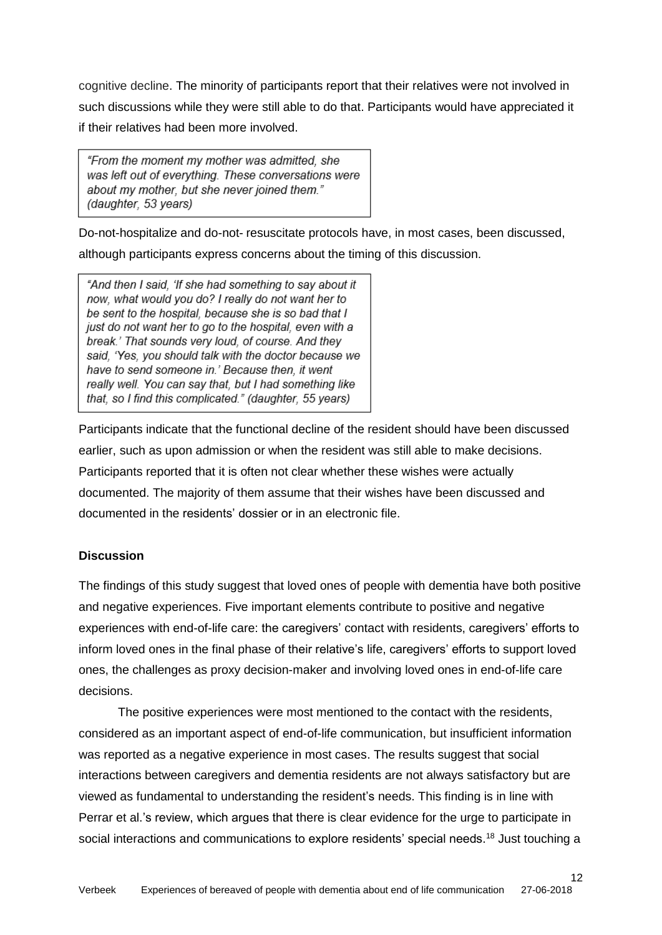cognitive decline. The minority of participants report that their relatives were not involved in such discussions while they were still able to do that. Participants would have appreciated it if their relatives had been more involved.

"From the moment my mother was admitted, she was left out of everything. These conversations were about my mother, but she never ioined them." (daughter, 53 years)

Do-not-hospitalize and do-not- resuscitate protocols have, in most cases, been discussed, although participants express concerns about the timing of this discussion.

"And then I said, 'If she had something to say about it now, what would you do? I really do not want her to be sent to the hospital, because she is so bad that I just do not want her to go to the hospital, even with a break.' That sounds very loud, of course. And they said, 'Yes, you should talk with the doctor because we have to send someone in.' Because then, it went really well. You can say that, but I had something like that, so I find this complicated." (daughter, 55 years)

Participants indicate that the functional decline of the resident should have been discussed earlier, such as upon admission or when the resident was still able to make decisions. Participants reported that it is often not clear whether these wishes were actually documented. The majority of them assume that their wishes have been discussed and documented in the residents' dossier or in an electronic file.

# **Discussion**

The findings of this study suggest that loved ones of people with dementia have both positive and negative experiences. Five important elements contribute to positive and negative experiences with end-of-life care: the caregivers' contact with residents, caregivers' efforts to inform loved ones in the final phase of their relative's life, caregivers' efforts to support loved ones, the challenges as proxy decision-maker and involving loved ones in end-of-life care decisions.

The positive experiences were most mentioned to the contact with the residents, considered as an important aspect of end-of-life communication, but insufficient information was reported as a negative experience in most cases. The results suggest that social interactions between caregivers and dementia residents are not always satisfactory but are viewed as fundamental to understanding the resident's needs. This finding is in line with Perrar et al.'s review, which argues that there is clear evidence for the urge to participate in social interactions and communications to explore residents' special needs.<sup>18</sup> Just touching a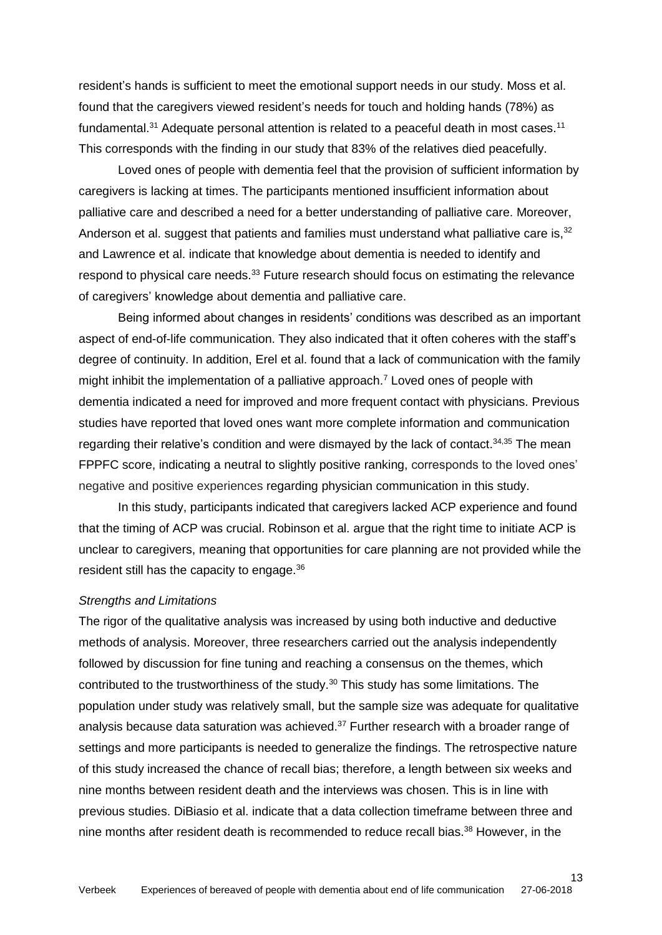resident's hands is sufficient to meet the emotional support needs in our study. Moss et al. found that the caregivers viewed resident's needs for touch and holding hands (78%) as fundamental.<sup>31</sup> Adequate personal attention is related to a peaceful death in most cases.<sup>11</sup> This corresponds with the finding in our study that 83% of the relatives died peacefully.

Loved ones of people with dementia feel that the provision of sufficient information by caregivers is lacking at times. The participants mentioned insufficient information about palliative care and described a need for a better understanding of palliative care. Moreover, Anderson et al. suggest that patients and families must understand what palliative care is,<sup>32</sup> and Lawrence et al. indicate that knowledge about dementia is needed to identify and respond to physical care needs.<sup>33</sup> Future research should focus on estimating the relevance of caregivers' knowledge about dementia and palliative care.

Being informed about changes in residents' conditions was described as an important aspect of end-of-life communication. They also indicated that it often coheres with the staff's degree of continuity. In addition, Erel et al. found that a lack of communication with the family might inhibit the implementation of a palliative approach.<sup>7</sup> Loved ones of people with dementia indicated a need for improved and more frequent contact with physicians. Previous studies have reported that loved ones want more complete information and communication regarding their relative's condition and were dismayed by the lack of contact.<sup>34,35</sup> The mean FPPFC score, indicating a neutral to slightly positive ranking, corresponds to the loved ones' negative and positive experiences regarding physician communication in this study.

In this study, participants indicated that caregivers lacked ACP experience and found that the timing of ACP was crucial. Robinson et al. argue that the right time to initiate ACP is unclear to caregivers, meaning that opportunities for care planning are not provided while the resident still has the capacity to engage.<sup>36</sup>

## *Strengths and Limitations*

The rigor of the qualitative analysis was increased by using both inductive and deductive methods of analysis. Moreover, three researchers carried out the analysis independently followed by discussion for fine tuning and reaching a consensus on the themes, which contributed to the trustworthiness of the study.<sup>30</sup> This study has some limitations. The population under study was relatively small, but the sample size was adequate for qualitative analysis because data saturation was achieved.<sup>37</sup> Further research with a broader range of settings and more participants is needed to generalize the findings. The retrospective nature of this study increased the chance of recall bias; therefore, a length between six weeks and nine months between resident death and the interviews was chosen. This is in line with previous studies. DiBiasio et al. indicate that a data collection timeframe between three and nine months after resident death is recommended to reduce recall bias.<sup>38</sup> However, in the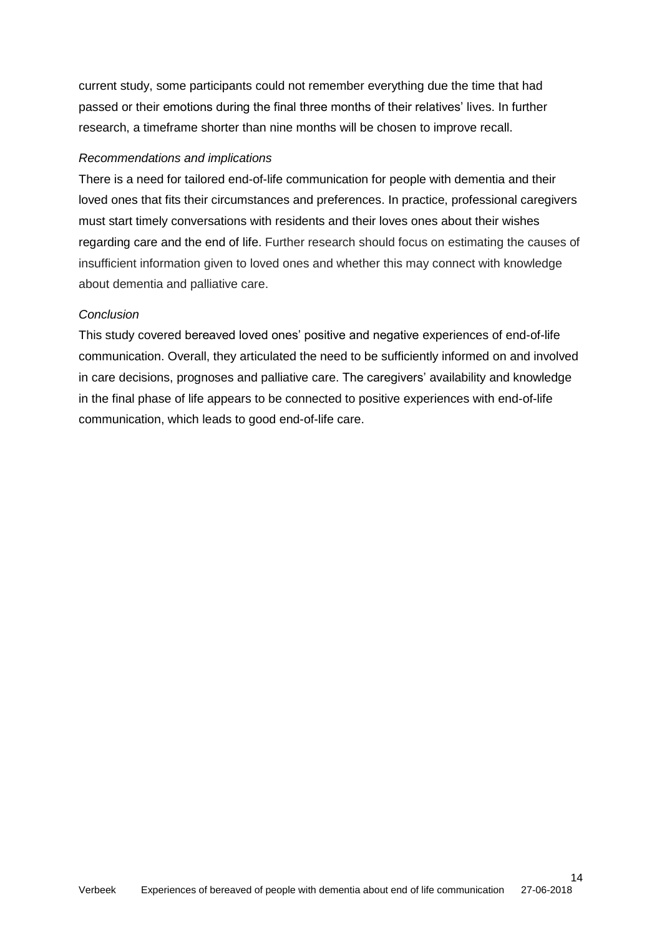current study, some participants could not remember everything due the time that had passed or their emotions during the final three months of their relatives' lives. In further research, a timeframe shorter than nine months will be chosen to improve recall.

# *Recommendations and implications*

There is a need for tailored end-of-life communication for people with dementia and their loved ones that fits their circumstances and preferences. In practice, professional caregivers must start timely conversations with residents and their loves ones about their wishes regarding care and the end of life. Further research should focus on estimating the causes of insufficient information given to loved ones and whether this may connect with knowledge about dementia and palliative care.

# *Conclusion*

This study covered bereaved loved ones' positive and negative experiences of end-of-life communication. Overall, they articulated the need to be sufficiently informed on and involved in care decisions, prognoses and palliative care. The caregivers' availability and knowledge in the final phase of life appears to be connected to positive experiences with end-of-life communication, which leads to good end-of-life care.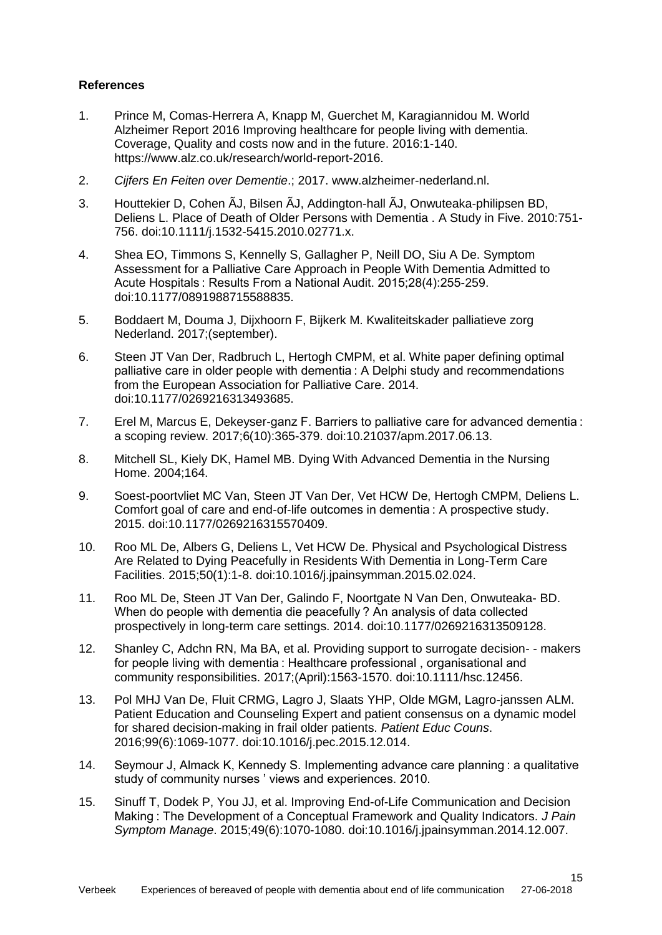## **References**

- 1. Prince M, Comas-Herrera A, Knapp M, Guerchet M, Karagiannidou M. World Alzheimer Report 2016 Improving healthcare for people living with dementia. Coverage, Quality and costs now and in the future. 2016:1-140. https://www.alz.co.uk/research/world-report-2016.
- 2. *Cijfers En Feiten over Dementie*.; 2017. www.alzheimer-nederland.nl.
- 3. Houttekier D, Cohen ÃJ, Bilsen ÃJ, Addington-hall ÃJ, Onwuteaka-philipsen BD, Deliens L. Place of Death of Older Persons with Dementia . A Study in Five. 2010:751- 756. doi:10.1111/j.1532-5415.2010.02771.x.
- 4. Shea EO, Timmons S, Kennelly S, Gallagher P, Neill DO, Siu A De. Symptom Assessment for a Palliative Care Approach in People With Dementia Admitted to Acute Hospitals : Results From a National Audit. 2015;28(4):255-259. doi:10.1177/0891988715588835.
- 5. Boddaert M, Douma J, Dijxhoorn F, Bijkerk M. Kwaliteitskader palliatieve zorg Nederland. 2017;(september).
- 6. Steen JT Van Der, Radbruch L, Hertogh CMPM, et al. White paper defining optimal palliative care in older people with dementia : A Delphi study and recommendations from the European Association for Palliative Care. 2014. doi:10.1177/0269216313493685.
- 7. Erel M, Marcus E, Dekeyser-ganz F. Barriers to palliative care for advanced dementia : a scoping review. 2017;6(10):365-379. doi:10.21037/apm.2017.06.13.
- 8. Mitchell SL, Kiely DK, Hamel MB. Dying With Advanced Dementia in the Nursing Home. 2004;164.
- 9. Soest-poortvliet MC Van, Steen JT Van Der, Vet HCW De, Hertogh CMPM, Deliens L. Comfort goal of care and end-of-life outcomes in dementia : A prospective study. 2015. doi:10.1177/0269216315570409.
- 10. Roo ML De, Albers G, Deliens L, Vet HCW De. Physical and Psychological Distress Are Related to Dying Peacefully in Residents With Dementia in Long-Term Care Facilities. 2015;50(1):1-8. doi:10.1016/j.jpainsymman.2015.02.024.
- 11. Roo ML De, Steen JT Van Der, Galindo F, Noortgate N Van Den, Onwuteaka- BD. When do people with dementia die peacefully ? An analysis of data collected prospectively in long-term care settings. 2014. doi:10.1177/0269216313509128.
- 12. Shanley C, Adchn RN, Ma BA, et al. Providing support to surrogate decision- makers for people living with dementia : Healthcare professional , organisational and community responsibilities. 2017;(April):1563-1570. doi:10.1111/hsc.12456.
- 13. Pol MHJ Van De, Fluit CRMG, Lagro J, Slaats YHP, Olde MGM, Lagro-janssen ALM. Patient Education and Counseling Expert and patient consensus on a dynamic model for shared decision-making in frail older patients. *Patient Educ Couns*. 2016;99(6):1069-1077. doi:10.1016/j.pec.2015.12.014.
- 14. Seymour J, Almack K, Kennedy S. Implementing advance care planning : a qualitative study of community nurses ' views and experiences. 2010.
- 15. Sinuff T, Dodek P, You JJ, et al. Improving End-of-Life Communication and Decision Making : The Development of a Conceptual Framework and Quality Indicators. *J Pain Symptom Manage*. 2015;49(6):1070-1080. doi:10.1016/j.jpainsymman.2014.12.007.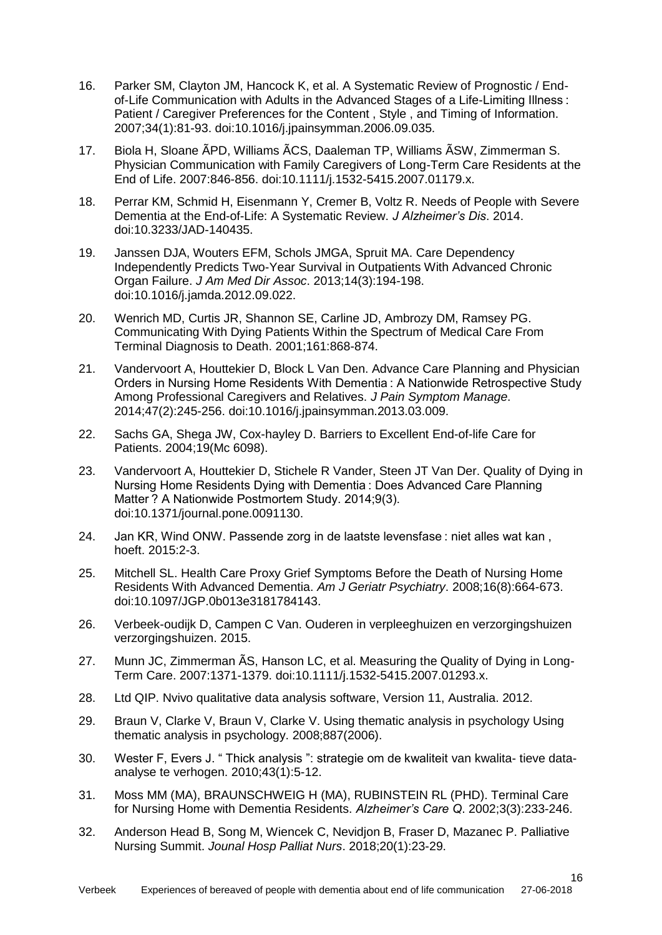- 16. Parker SM, Clayton JM, Hancock K, et al. A Systematic Review of Prognostic / Endof-Life Communication with Adults in the Advanced Stages of a Life-Limiting Illness : Patient / Caregiver Preferences for the Content , Style , and Timing of Information. 2007;34(1):81-93. doi:10.1016/j.jpainsymman.2006.09.035.
- 17. Biola H, Sloane ÃPD, Williams ÃCS, Daaleman TP, Williams ÃSW, Zimmerman S. Physician Communication with Family Caregivers of Long-Term Care Residents at the End of Life. 2007:846-856. doi:10.1111/j.1532-5415.2007.01179.x.
- 18. Perrar KM, Schmid H, Eisenmann Y, Cremer B, Voltz R. Needs of People with Severe Dementia at the End-of-Life: A Systematic Review. *J Alzheimer's Dis*. 2014. doi:10.3233/JAD-140435.
- 19. Janssen DJA, Wouters EFM, Schols JMGA, Spruit MA. Care Dependency Independently Predicts Two-Year Survival in Outpatients With Advanced Chronic Organ Failure. *J Am Med Dir Assoc*. 2013;14(3):194-198. doi:10.1016/j.jamda.2012.09.022.
- 20. Wenrich MD, Curtis JR, Shannon SE, Carline JD, Ambrozy DM, Ramsey PG. Communicating With Dying Patients Within the Spectrum of Medical Care From Terminal Diagnosis to Death. 2001;161:868-874.
- 21. Vandervoort A, Houttekier D, Block L Van Den. Advance Care Planning and Physician Orders in Nursing Home Residents With Dementia : A Nationwide Retrospective Study Among Professional Caregivers and Relatives. *J Pain Symptom Manage*. 2014;47(2):245-256. doi:10.1016/j.jpainsymman.2013.03.009.
- 22. Sachs GA, Shega JW, Cox-hayley D. Barriers to Excellent End-of-life Care for Patients. 2004;19(Mc 6098).
- 23. Vandervoort A, Houttekier D, Stichele R Vander, Steen JT Van Der. Quality of Dying in Nursing Home Residents Dying with Dementia : Does Advanced Care Planning Matter ? A Nationwide Postmortem Study. 2014;9(3). doi:10.1371/journal.pone.0091130.
- 24. Jan KR, Wind ONW. Passende zorg in de laatste levensfase : niet alles wat kan , hoeft. 2015:2-3.
- 25. Mitchell SL. Health Care Proxy Grief Symptoms Before the Death of Nursing Home Residents With Advanced Dementia. *Am J Geriatr Psychiatry*. 2008;16(8):664-673. doi:10.1097/JGP.0b013e3181784143.
- 26. Verbeek-oudijk D, Campen C Van. Ouderen in verpleeghuizen en verzorgingshuizen verzorgingshuizen. 2015.
- 27. Munn JC, Zimmerman ÃS, Hanson LC, et al. Measuring the Quality of Dying in Long-Term Care. 2007:1371-1379. doi:10.1111/j.1532-5415.2007.01293.x.
- 28. Ltd QIP. Nvivo qualitative data analysis software, Version 11, Australia. 2012.
- 29. Braun V, Clarke V, Braun V, Clarke V. Using thematic analysis in psychology Using thematic analysis in psychology. 2008;887(2006).
- 30. Wester F, Evers J. " Thick analysis ": strategie om de kwaliteit van kwalita- tieve dataanalyse te verhogen. 2010;43(1):5-12.
- 31. Moss MM (MA), BRAUNSCHWEIG H (MA), RUBINSTEIN RL (PHD). Terminal Care for Nursing Home with Dementia Residents. *Alzheimer's Care Q*. 2002;3(3):233-246.
- 32. Anderson Head B, Song M, Wiencek C, Nevidjon B, Fraser D, Mazanec P. Palliative Nursing Summit. *Jounal Hosp Palliat Nurs*. 2018;20(1):23-29.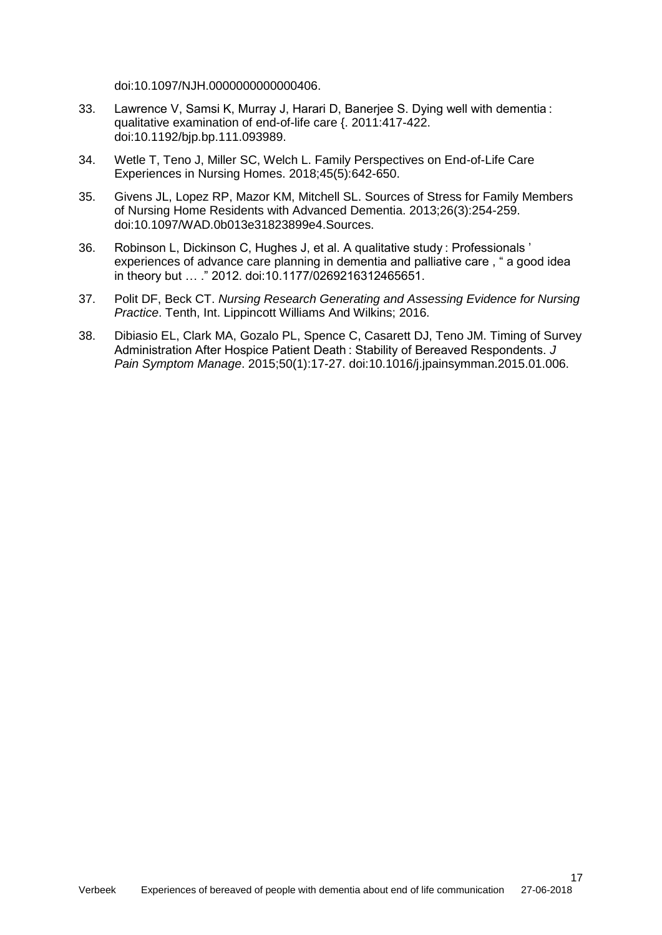doi:10.1097/NJH.0000000000000406.

- 33. Lawrence V, Samsi K, Murray J, Harari D, Banerjee S. Dying well with dementia : qualitative examination of end-of-life care {. 2011:417-422. doi:10.1192/bjp.bp.111.093989.
- 34. Wetle T, Teno J, Miller SC, Welch L. Family Perspectives on End-of-Life Care Experiences in Nursing Homes. 2018;45(5):642-650.
- 35. Givens JL, Lopez RP, Mazor KM, Mitchell SL. Sources of Stress for Family Members of Nursing Home Residents with Advanced Dementia. 2013;26(3):254-259. doi:10.1097/WAD.0b013e31823899e4.Sources.
- 36. Robinson L, Dickinson C, Hughes J, et al. A qualitative study : Professionals ' experiences of advance care planning in dementia and palliative care , " a good idea in theory but … ." 2012. doi:10.1177/0269216312465651.
- 37. Polit DF, Beck CT. *Nursing Research Generating and Assessing Evidence for Nursing Practice*. Tenth, Int. Lippincott Williams And Wilkins; 2016.
- 38. Dibiasio EL, Clark MA, Gozalo PL, Spence C, Casarett DJ, Teno JM. Timing of Survey Administration After Hospice Patient Death : Stability of Bereaved Respondents. *J Pain Symptom Manage*. 2015;50(1):17-27. doi:10.1016/j.jpainsymman.2015.01.006.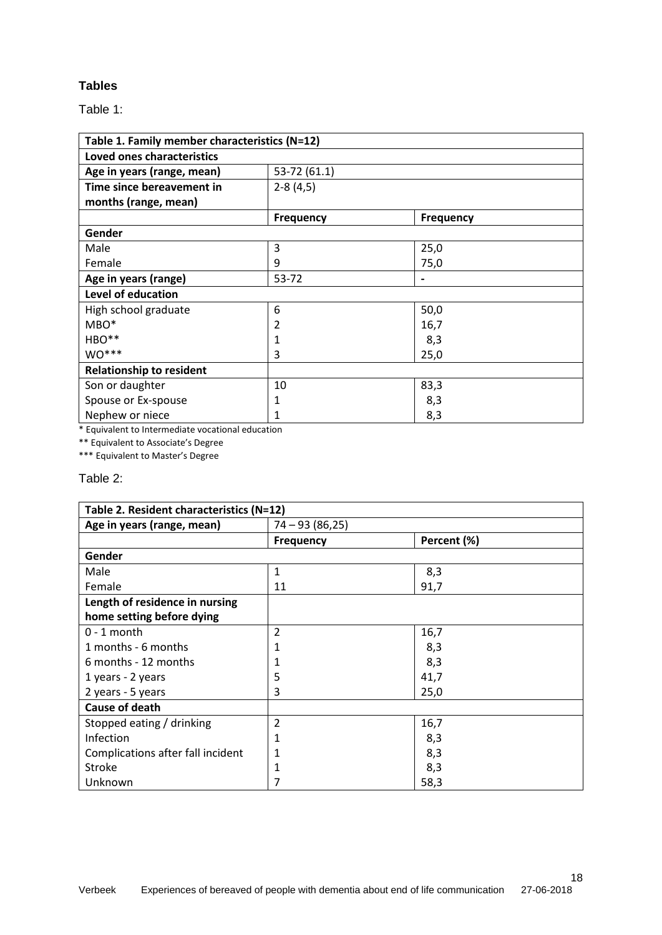# **Tables**

Table 1:

| Table 1. Family member characteristics (N=12) |                  |                  |  |
|-----------------------------------------------|------------------|------------------|--|
| Loved ones characteristics                    |                  |                  |  |
| Age in years (range, mean)                    | 53-72 (61.1)     |                  |  |
| Time since bereavement in                     | $2-8(4,5)$       |                  |  |
| months (range, mean)                          |                  |                  |  |
|                                               | <b>Frequency</b> | <b>Frequency</b> |  |
| Gender                                        |                  |                  |  |
| Male                                          | 3                | 25,0             |  |
| Female                                        | 9                | 75,0             |  |
| Age in years (range)                          | 53-72            |                  |  |
| Level of education                            |                  |                  |  |
| High school graduate                          | 6                | 50,0             |  |
| $MBO*$                                        | 2                | 16,7             |  |
| HBO**                                         | 1                | 8,3              |  |
| $WO***$                                       | 3                | 25,0             |  |
| <b>Relationship to resident</b>               |                  |                  |  |
| Son or daughter                               | 10               | 83,3             |  |
| Spouse or Ex-spouse                           | 1                | 8,3              |  |
| Nephew or niece                               | 1                | 8,3              |  |

\* Equivalent to Intermediate vocational education

\*\* Equivalent to Associate's Degree

\*\*\* Equivalent to Master's Degree

## Table 2:

| Table 2. Resident characteristics (N=12) |                  |             |  |
|------------------------------------------|------------------|-------------|--|
| Age in years (range, mean)               | $74 - 93(86,25)$ |             |  |
|                                          | <b>Frequency</b> | Percent (%) |  |
| Gender                                   |                  |             |  |
| Male                                     | $\mathbf{1}$     | 8,3         |  |
| Female                                   | 11               | 91,7        |  |
| Length of residence in nursing           |                  |             |  |
| home setting before dying                |                  |             |  |
| $0 - 1$ month                            | 2                | 16,7        |  |
| 1 months - 6 months                      | 1                | 8,3         |  |
| 6 months - 12 months                     | 1                | 8,3         |  |
| 1 years - 2 years                        | 5                | 41,7        |  |
| 2 years - 5 years                        | 3                | 25,0        |  |
| <b>Cause of death</b>                    |                  |             |  |
| Stopped eating / drinking                | 2                | 16,7        |  |
| Infection                                | 1                | 8,3         |  |
| Complications after fall incident        | 1                | 8,3         |  |
| <b>Stroke</b>                            | 1                | 8,3         |  |
| Unknown                                  |                  | 58,3        |  |